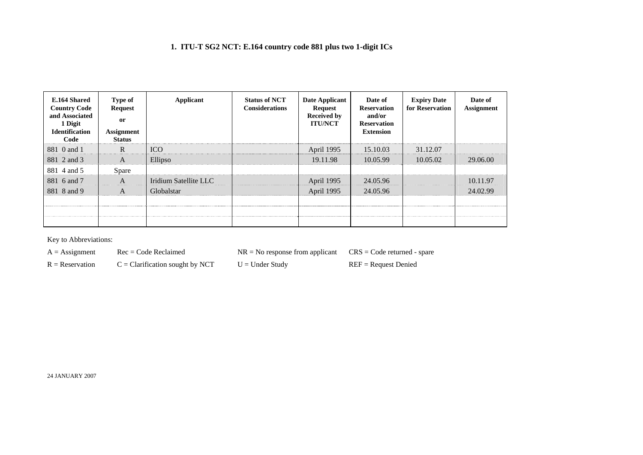## **1. ITU-T SG2 NCT: E.164 country code 881 plus two 1-digit ICs**

| E.164 Shared<br><b>Country Code</b><br>and Associated<br>1 Digit<br><b>Identification</b><br>Code | <b>Type of</b><br><b>Request</b><br><sub>or</sub><br><b>Assignment</b><br><b>Status</b> | Applicant             | <b>Status of NCT</b><br><b>Considerations</b> | Date Applicant<br><b>Request</b><br><b>Received by</b><br><b>ITU/NCT</b> | Date of<br><b>Reservation</b><br>and/or<br><b>Reservation</b><br><b>Extension</b> | <b>Expiry Date</b><br>for Reservation | Date of<br><b>Assignment</b> |
|---------------------------------------------------------------------------------------------------|-----------------------------------------------------------------------------------------|-----------------------|-----------------------------------------------|--------------------------------------------------------------------------|-----------------------------------------------------------------------------------|---------------------------------------|------------------------------|
| 881 0 and 1                                                                                       | R                                                                                       | <b>ICO</b>            |                                               | April 1995                                                               | 15.10.03                                                                          | 31.12.07                              |                              |
| 881 2 and 3                                                                                       | A                                                                                       | Ellipso               |                                               | 19.11.98                                                                 | 10.05.99                                                                          | 10.05.02                              | 29.06.00                     |
| 881 4 and 5                                                                                       | Spare                                                                                   |                       |                                               |                                                                          |                                                                                   |                                       |                              |
| 881 6 and 7                                                                                       | A                                                                                       | Iridium Satellite LLC |                                               | April 1995                                                               | 24.05.96                                                                          |                                       | 10.11.97                     |
| 881 8 and 9                                                                                       | A                                                                                       | Globalstar            |                                               | April 1995                                                               | 24.05.96                                                                          |                                       | 24.02.99                     |
|                                                                                                   |                                                                                         |                       |                                               |                                                                          |                                                                                   |                                       |                              |
|                                                                                                   |                                                                                         |                       |                                               |                                                                          |                                                                                   |                                       |                              |
|                                                                                                   |                                                                                         |                       |                                               |                                                                          |                                                                                   |                                       |                              |

Key to Abbreviations:

 $A =$ Assignment Rec = Code Reclaimed NR = No response from applicant CRS = Code returned - spare

 $R =$  Reservation  $C =$  Clarification sought by NCT  $U =$  Under Study REF = Request Denied

24 JANUARY 2007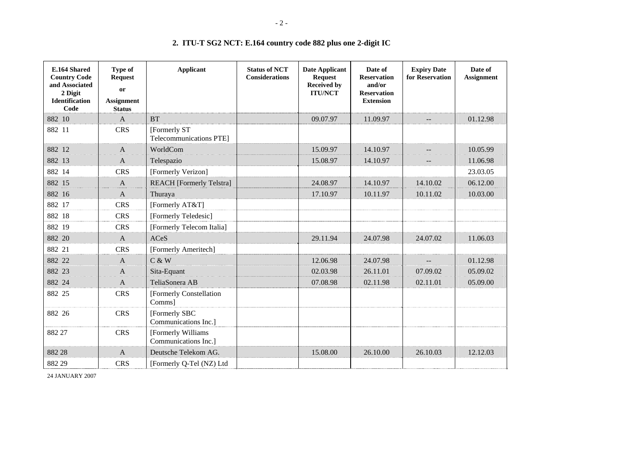| E.164 Shared<br><b>Country Code</b><br>and Associated<br>2 Digit<br><b>Identification</b><br>Code | <b>Type of</b><br><b>Request</b><br><b>or</b><br><b>Assignment</b><br><b>Status</b> | <b>Applicant</b>                                | <b>Status of NCT</b><br><b>Considerations</b> | <b>Date Applicant</b><br><b>Request</b><br><b>Received by</b><br><b>ITU/NCT</b> | Date of<br><b>Reservation</b><br>and/or<br><b>Reservation</b><br><b>Extension</b> | <b>Expiry Date</b><br>for Reservation               | Date of<br><b>Assignment</b> |
|---------------------------------------------------------------------------------------------------|-------------------------------------------------------------------------------------|-------------------------------------------------|-----------------------------------------------|---------------------------------------------------------------------------------|-----------------------------------------------------------------------------------|-----------------------------------------------------|------------------------------|
| 882 10                                                                                            | $\mathbf{A}$                                                                        | <b>BT</b>                                       |                                               | 09.07.97                                                                        | 11.09.97                                                                          |                                                     | 01.12.98                     |
| 882 11                                                                                            | <b>CRS</b>                                                                          | [Formerly ST]<br><b>Telecommunications PTE1</b> |                                               |                                                                                 |                                                                                   |                                                     |                              |
| 882 12                                                                                            | $\overline{A}$                                                                      | WorldCom                                        |                                               | 15.09.97                                                                        | 14.10.97                                                                          | $\overline{\phantom{a}}$                            | 10.05.99                     |
| 882 13                                                                                            | $\mathbf{A}$                                                                        | Telespazio                                      |                                               | 15.08.97                                                                        | 14.10.97                                                                          | $\hspace{0.05cm} -\hspace{0.05cm} -\hspace{0.05cm}$ | 11.06.98                     |
| 882 14                                                                                            | <b>CRS</b>                                                                          | [Formerly Verizon]                              |                                               |                                                                                 |                                                                                   |                                                     | 23.03.05                     |
| 882 15                                                                                            | $\mathbf{A}$                                                                        | <b>REACH</b> [Formerly Telstra]                 |                                               | 24.08.97                                                                        | 14.10.97                                                                          | 14.10.02                                            | 06.12.00                     |
| 882 16                                                                                            | $\mathbf{A}$                                                                        | Thuraya                                         |                                               | 17.10.97                                                                        | 10.11.97                                                                          | 10.11.02                                            | 10.03.00                     |
| 882 17                                                                                            | <b>CRS</b>                                                                          | [Formerly AT&T]                                 |                                               |                                                                                 |                                                                                   |                                                     |                              |
| 882 18                                                                                            | <b>CRS</b>                                                                          | [Formerly Teledesic]                            |                                               |                                                                                 |                                                                                   |                                                     |                              |
| 882 19                                                                                            | <b>CRS</b>                                                                          | [Formerly Telecom Italia]                       |                                               |                                                                                 |                                                                                   |                                                     |                              |
| 882 20                                                                                            | $\mathbf{A}$                                                                        | <b>ACeS</b>                                     |                                               | 29.11.94                                                                        | 24.07.98                                                                          | 24.07.02                                            | 11.06.03                     |
| 882 21                                                                                            | <b>CRS</b>                                                                          | [Formerly Ameritech]                            |                                               |                                                                                 |                                                                                   |                                                     |                              |
| 882 22                                                                                            | $\mathbf{A}$                                                                        | C & W                                           |                                               | 12.06.98                                                                        | 24.07.98                                                                          | $\qquad \qquad -$                                   | 01.12.98                     |
| 882 23                                                                                            | $\mathbf{A}$                                                                        | Sita-Equant                                     |                                               | 02.03.98                                                                        | 26.11.01                                                                          | 07.09.02                                            | 05.09.02                     |
| 882 24                                                                                            | $\mathbf{A}$                                                                        | TeliaSonera AB                                  |                                               | 07.08.98                                                                        | 02.11.98                                                                          | 02.11.01                                            | 05.09.00                     |
| 882 25                                                                                            | <b>CRS</b>                                                                          | [Formerly Constellation<br>Comms]               |                                               |                                                                                 |                                                                                   |                                                     |                              |
| 882 26                                                                                            | <b>CRS</b>                                                                          | [Formerly SBC<br>Communications Inc.]           |                                               |                                                                                 |                                                                                   |                                                     |                              |
| 882 27                                                                                            | <b>CRS</b>                                                                          | [Formerly Williams]<br>Communications Inc.]     |                                               |                                                                                 |                                                                                   |                                                     |                              |
| 882 28                                                                                            | $\mathbf{A}$                                                                        | Deutsche Telekom AG.                            |                                               | 15.08.00                                                                        | 26.10.00                                                                          | 26.10.03                                            | 12.12.03                     |
| 882 29                                                                                            | <b>CRS</b>                                                                          | [Formerly Q-Tel (NZ) Ltd                        |                                               |                                                                                 |                                                                                   |                                                     |                              |

## **2. ITU-T SG2 NCT: E.164 country code 882 plus one 2-digit IC**

24 JANUARY 2007